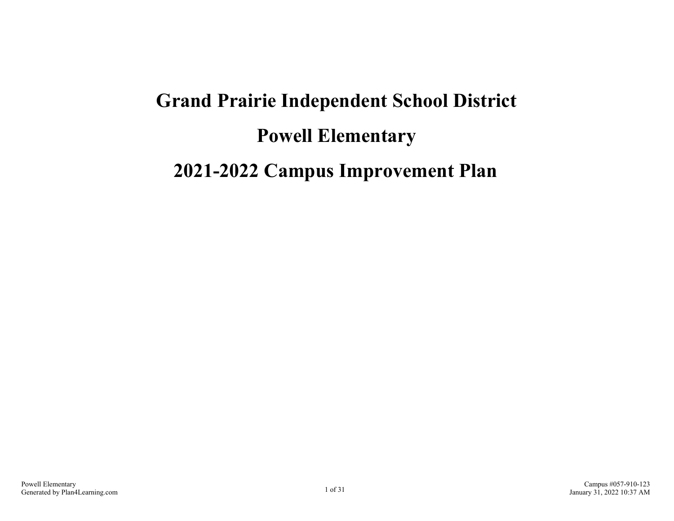# **Grand Prairie Independent School District Powell Elementary 2021-2022 Campus Improvement Plan**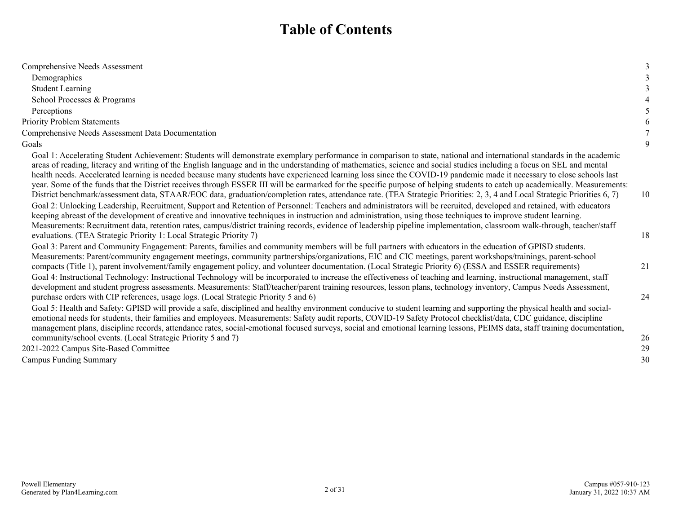### **Table of Contents**

| Comprehensive Needs Assessment                                                                                                                                                                                                                                                                                                                                                                                                                                                                                                                                                                                                                                                                                                                                                                                                                                                                                                                                                                                                                                                                                                                                                                                                                                                                                                                                                                               |    |
|--------------------------------------------------------------------------------------------------------------------------------------------------------------------------------------------------------------------------------------------------------------------------------------------------------------------------------------------------------------------------------------------------------------------------------------------------------------------------------------------------------------------------------------------------------------------------------------------------------------------------------------------------------------------------------------------------------------------------------------------------------------------------------------------------------------------------------------------------------------------------------------------------------------------------------------------------------------------------------------------------------------------------------------------------------------------------------------------------------------------------------------------------------------------------------------------------------------------------------------------------------------------------------------------------------------------------------------------------------------------------------------------------------------|----|
| Demographics                                                                                                                                                                                                                                                                                                                                                                                                                                                                                                                                                                                                                                                                                                                                                                                                                                                                                                                                                                                                                                                                                                                                                                                                                                                                                                                                                                                                 |    |
| <b>Student Learning</b>                                                                                                                                                                                                                                                                                                                                                                                                                                                                                                                                                                                                                                                                                                                                                                                                                                                                                                                                                                                                                                                                                                                                                                                                                                                                                                                                                                                      |    |
| School Processes & Programs                                                                                                                                                                                                                                                                                                                                                                                                                                                                                                                                                                                                                                                                                                                                                                                                                                                                                                                                                                                                                                                                                                                                                                                                                                                                                                                                                                                  |    |
| Perceptions                                                                                                                                                                                                                                                                                                                                                                                                                                                                                                                                                                                                                                                                                                                                                                                                                                                                                                                                                                                                                                                                                                                                                                                                                                                                                                                                                                                                  |    |
| <b>Priority Problem Statements</b>                                                                                                                                                                                                                                                                                                                                                                                                                                                                                                                                                                                                                                                                                                                                                                                                                                                                                                                                                                                                                                                                                                                                                                                                                                                                                                                                                                           | 6  |
| Comprehensive Needs Assessment Data Documentation                                                                                                                                                                                                                                                                                                                                                                                                                                                                                                                                                                                                                                                                                                                                                                                                                                                                                                                                                                                                                                                                                                                                                                                                                                                                                                                                                            |    |
| Goals                                                                                                                                                                                                                                                                                                                                                                                                                                                                                                                                                                                                                                                                                                                                                                                                                                                                                                                                                                                                                                                                                                                                                                                                                                                                                                                                                                                                        | 9  |
| Goal 1: Accelerating Student Achievement: Students will demonstrate exemplary performance in comparison to state, national and international standards in the academic<br>areas of reading, literacy and writing of the English language and in the understanding of mathematics, science and social studies including a focus on SEL and mental<br>health needs. Accelerated learning is needed because many students have experienced learning loss since the COVID-19 pandemic made it necessary to close schools last<br>year. Some of the funds that the District receives through ESSER III will be earmarked for the specific purpose of helping students to catch up academically. Measurements:<br>District benchmark/assessment data, STAAR/EOC data, graduation/completion rates, attendance rate. (TEA Strategic Priorities: 2, 3, 4 and Local Strategic Priorities 6, 7)<br>Goal 2: Unlocking Leadership, Recruitment, Support and Retention of Personnel: Teachers and administrators will be recruited, developed and retained, with educators<br>keeping abreast of the development of creative and innovative techniques in instruction and administration, using those techniques to improve student learning.<br>Measurements: Recruitment data, retention rates, campus/district training records, evidence of leadership pipeline implementation, classroom walk-through, teacher/staff | 10 |
| evaluations. (TEA Strategic Priority 1: Local Strategic Priority 7)                                                                                                                                                                                                                                                                                                                                                                                                                                                                                                                                                                                                                                                                                                                                                                                                                                                                                                                                                                                                                                                                                                                                                                                                                                                                                                                                          | 18 |
| Goal 3: Parent and Community Engagement: Parents, families and community members will be full partners with educators in the education of GPISD students.<br>Measurements: Parent/community engagement meetings, community partnerships/organizations, EIC and CIC meetings, parent workshops/trainings, parent-school<br>compacts (Title 1), parent involvement/family engagement policy, and volunteer documentation. (Local Strategic Priority 6) (ESSA and ESSER requirements)<br>Goal 4: Instructional Technology: Instructional Technology will be incorporated to increase the effectiveness of teaching and learning, instructional management, staff                                                                                                                                                                                                                                                                                                                                                                                                                                                                                                                                                                                                                                                                                                                                                | 21 |
| development and student progress assessments. Measurements: Staff/teacher/parent training resources, lesson plans, technology inventory, Campus Needs Assessment,<br>purchase orders with CIP references, usage logs. (Local Strategic Priority 5 and 6)<br>Goal 5: Health and Safety: GPISD will provide a safe, disciplined and healthy environment conducive to student learning and supporting the physical health and social-<br>emotional needs for students, their families and employees. Measurements: Safety audit reports, COVID-19 Safety Protocol checklist/data, CDC guidance, discipline<br>management plans, discipline records, attendance rates, social-emotional focused surveys, social and emotional learning lessons, PEIMS data, staff training documentation,                                                                                                                                                                                                                                                                                                                                                                                                                                                                                                                                                                                                                        | 24 |
| community/school events. (Local Strategic Priority 5 and 7)                                                                                                                                                                                                                                                                                                                                                                                                                                                                                                                                                                                                                                                                                                                                                                                                                                                                                                                                                                                                                                                                                                                                                                                                                                                                                                                                                  | 26 |
| 2021-2022 Campus Site-Based Committee                                                                                                                                                                                                                                                                                                                                                                                                                                                                                                                                                                                                                                                                                                                                                                                                                                                                                                                                                                                                                                                                                                                                                                                                                                                                                                                                                                        | 29 |
| <b>Campus Funding Summary</b>                                                                                                                                                                                                                                                                                                                                                                                                                                                                                                                                                                                                                                                                                                                                                                                                                                                                                                                                                                                                                                                                                                                                                                                                                                                                                                                                                                                | 30 |
|                                                                                                                                                                                                                                                                                                                                                                                                                                                                                                                                                                                                                                                                                                                                                                                                                                                                                                                                                                                                                                                                                                                                                                                                                                                                                                                                                                                                              |    |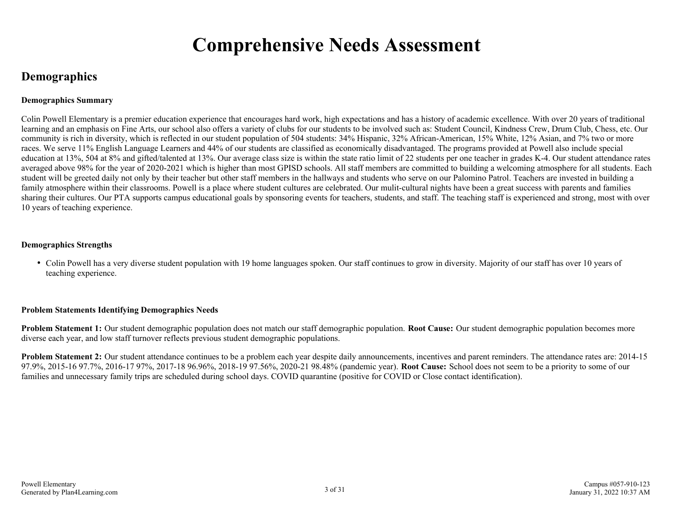### **Comprehensive Needs Assessment**

### **Demographics**

#### **Demographics Summary**

Colin Powell Elementary is a premier education experience that encourages hard work, high expectations and has a history of academic excellence. With over 20 years of traditional learning and an emphasis on Fine Arts, our school also offers a variety of clubs for our students to be involved such as: Student Council, Kindness Crew, Drum Club, Chess, etc. Our community is rich in diversity, which is reflected in our student population of 504 students: 34% Hispanic, 32% African-American, 15% White, 12% Asian, and 7% two or more races. We serve 11% English Language Learners and 44% of our students are classified as economically disadvantaged. The programs provided at Powell also include special education at 13%, 504 at 8% and gifted/talented at 13%. Our average class size is within the state ratio limit of 22 students per one teacher in grades K-4. Our student attendance rates averaged above 98% for the year of 2020-2021 which is higher than most GPISD schools. All staff members are committed to building a welcoming atmosphere for all students. Each student will be greeted daily not only by their teacher but other staff members in the hallways and students who serve on our Palomino Patrol. Teachers are invested in building a family atmosphere within their classrooms. Powell is a place where student cultures are celebrated. Our mulit-cultural nights have been a great success with parents and families sharing their cultures. Our PTA supports campus educational goals by sponsoring events for teachers, students, and staff. The teaching staff is experienced and strong, most with over 10 years of teaching experience.

#### **Demographics Strengths**

Colin Powell has a very diverse student population with 19 home languages spoken. Our staff continues to grow in diversity. Majority of our staff has over 10 years of teaching experience.

#### **Problem Statements Identifying Demographics Needs**

**Problem Statement 1:** Our student demographic population does not match our staff demographic population. **Root Cause:** Our student demographic population becomes more diverse each year, and low staff turnover reflects previous student demographic populations.

**Problem Statement 2:** Our student attendance continues to be a problem each year despite daily announcements, incentives and parent reminders. The attendance rates are: 2014-15 97.9%, 2015-16 97.7%, 2016-17 97%, 2017-18 96.96%, 2018-19 97.56%, 2020-21 98.48% (pandemic year). **Root Cause:** School does not seem to be a priority to some of our families and unnecessary family trips are scheduled during school days. COVID quarantine (positive for COVID or Close contact identification).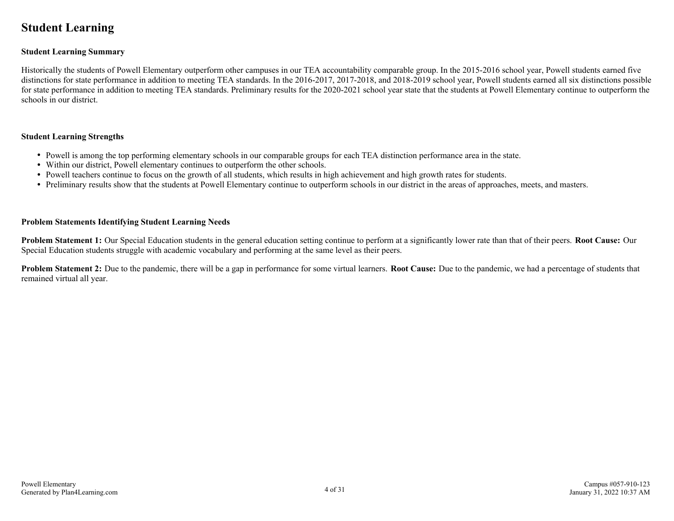### **Student Learning**

#### **Student Learning Summary**

Historically the students of Powell Elementary outperform other campuses in our TEA accountability comparable group. In the 2015-2016 school year, Powell students earned five distinctions for state performance in addition to meeting TEA standards. In the 2016-2017, 2017-2018, and 2018-2019 school year, Powell students earned all six distinctions possible for state performance in addition to meeting TEA standards. Preliminary results for the 2020-2021 school year state that the students at Powell Elementary continue to outperform the schools in our district.

#### **Student Learning Strengths**

- Powell is among the top performing elementary schools in our comparable groups for each TEA distinction performance area in the state.
- Within our district, Powell elementary continues to outperform the other schools.
- Powell teachers continue to focus on the growth of all students, which results in high achievement and high growth rates for students.
- Preliminary results show that the students at Powell Elementary continue to outperform schools in our district in the areas of approaches, meets, and masters.

#### **Problem Statements Identifying Student Learning Needs**

**Problem Statement 1:** Our Special Education students in the general education setting continue to perform at a significantly lower rate than that of their peers. **Root Cause:** Our Special Education students struggle with academic vocabulary and performing at the same level as their peers.

**Problem Statement 2:** Due to the pandemic, there will be a gap in performance for some virtual learners. **Root Cause:** Due to the pandemic, we had a percentage of students that remained virtual all year.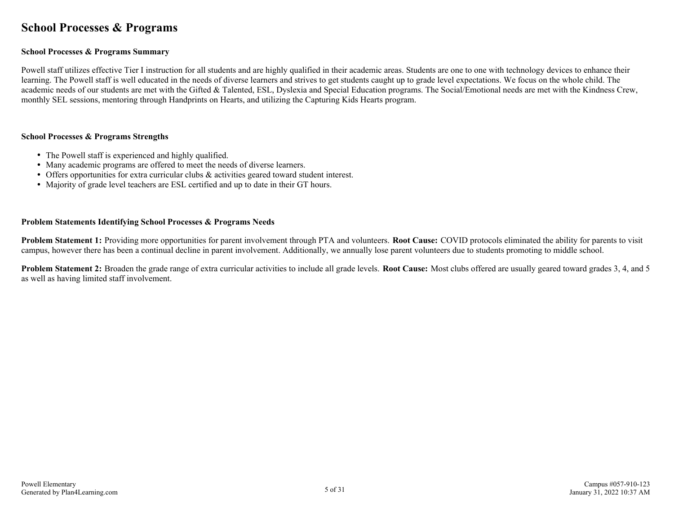### **School Processes & Programs**

#### **School Processes & Programs Summary**

Powell staff utilizes effective Tier I instruction for all students and are highly qualified in their academic areas. Students are one to one with technology devices to enhance their learning. The Powell staff is well educated in the needs of diverse learners and strives to get students caught up to grade level expectations. We focus on the whole child. The academic needs of our students are met with the Gifted & Talented, ESL, Dyslexia and Special Education programs. The Social/Emotional needs are met with the Kindness Crew, monthly SEL sessions, mentoring through Handprints on Hearts, and utilizing the Capturing Kids Hearts program.

#### **School Processes & Programs Strengths**

- The Powell staff is experienced and highly qualified.
- Many academic programs are offered to meet the needs of diverse learners.
- Offers opportunities for extra curricular clubs & activities geared toward student interest.
- Majority of grade level teachers are ESL certified and up to date in their GT hours.

#### **Problem Statements Identifying School Processes & Programs Needs**

**Problem Statement 1:** Providing more opportunities for parent involvement through PTA and volunteers. **Root Cause:** COVID protocols eliminated the ability for parents to visit campus, however there has been a continual decline in parent involvement. Additionally, we annually lose parent volunteers due to students promoting to middle school.

**Problem Statement 2:** Broaden the grade range of extra curricular activities to include all grade levels. **Root Cause:** Most clubs offered are usually geared toward grades 3, 4, and 5 as well as having limited staff involvement.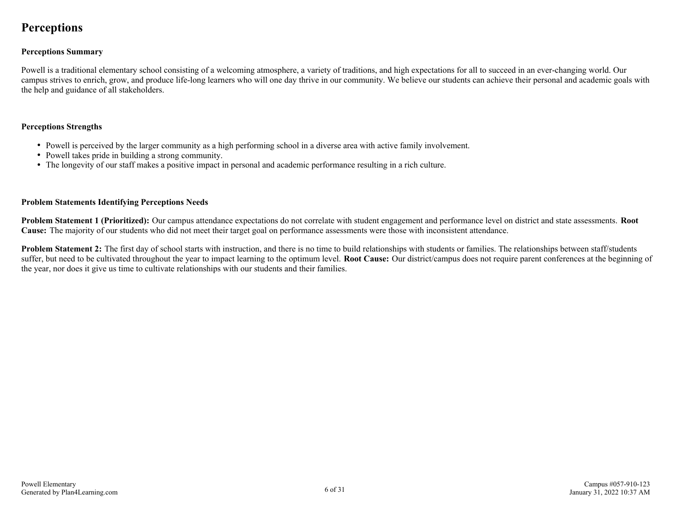### **Perceptions**

#### **Perceptions Summary**

Powell is a traditional elementary school consisting of a welcoming atmosphere, a variety of traditions, and high expectations for all to succeed in an ever-changing world. Our campus strives to enrich, grow, and produce life-long learners who will one day thrive in our community. We believe our students can achieve their personal and academic goals with the help and guidance of all stakeholders.

#### **Perceptions Strengths**

- Powell is perceived by the larger community as a high performing school in a diverse area with active family involvement.
- Powell takes pride in building a strong community.
- The longevity of our staff makes a positive impact in personal and academic performance resulting in a rich culture.

#### **Problem Statements Identifying Perceptions Needs**

**Problem Statement 1 (Prioritized):** Our campus attendance expectations do not correlate with student engagement and performance level on district and state assessments. **Root Cause:** The majority of our students who did not meet their target goal on performance assessments were those with inconsistent attendance.

**Problem Statement 2:** The first day of school starts with instruction, and there is no time to build relationships with students or families. The relationships between staff/students suffer, but need to be cultivated throughout the year to impact learning to the optimum level. **Root Cause:** Our district/campus does not require parent conferences at the beginning of the year, nor does it give us time to cultivate relationships with our students and their families.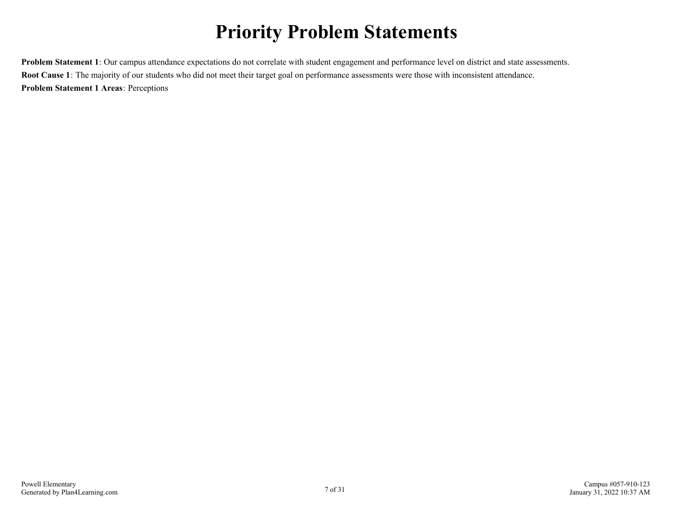## **Priority Problem Statements**

**Problem Statement 1**: Our campus attendance expectations do not correlate with student engagement and performance level on district and state assessments. **Root Cause 1**: The majority of our students who did not meet their target goal on performance assessments were those with inconsistent attendance. **Problem Statement 1 Areas**: Perceptions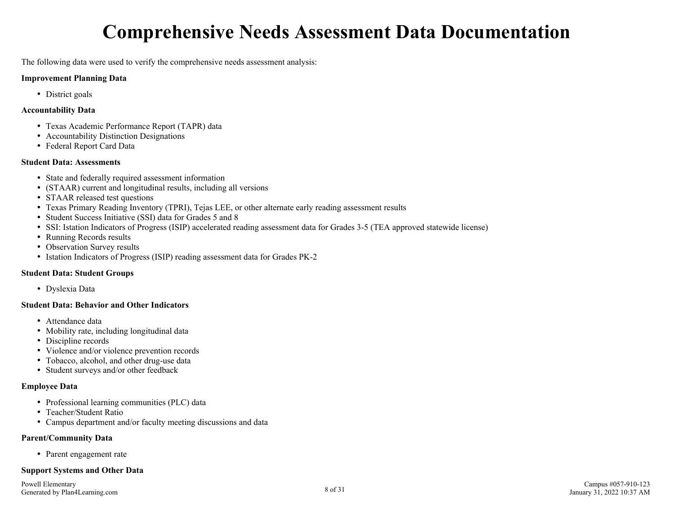## **Comprehensive Needs Assessment Data Documentation**

The following data were used to verify the comprehensive needs assessment analysis:

#### **Improvement Planning Data**

• District goals

#### **Accountability Data**

- Texas Academic Performance Report (TAPR) data
- Accountability Distinction Designations
- Federal Report Card Data

#### **Student Data: Assessments**

- State and federally required assessment information
- (STAAR) current and longitudinal results, including all versions
- STAAR released test questions
- Texas Primary Reading Inventory (TPRI), Tejas LEE, or other alternate early reading assessment results
- Student Success Initiative (SSI) data for Grades 5 and 8
- SSI: Istation Indicators of Progress (ISIP) accelerated reading assessment data for Grades 3-5 (TEA approved statewide license)
- Running Records results
- Observation Survey results
- Istation Indicators of Progress (ISIP) reading assessment data for Grades PK-2

#### **Student Data: Student Groups**

Dyslexia Data

#### **Student Data: Behavior and Other Indicators**

- Attendance data
- Mobility rate, including longitudinal data
- Discipline records
- Violence and/or violence prevention records
- Tobacco, alcohol, and other drug-use data
- Student surveys and/or other feedback

#### **Employee Data**

- Professional learning communities (PLC) data
- Teacher/Student Ratio
- Campus department and/or faculty meeting discussions and data

#### **Parent/Community Data**

• Parent engagement rate

#### **Support Systems and Other Data**

Powell Elementary Generated by Plan4Learning.com 8 of 31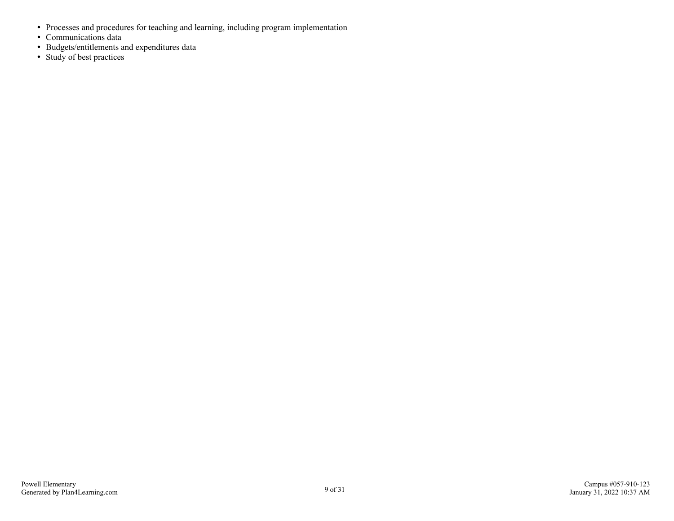- Processes and procedures for teaching and learning, including program implementation
- Communications data
- Budgets/entitlements and expenditures data
- Study of best practices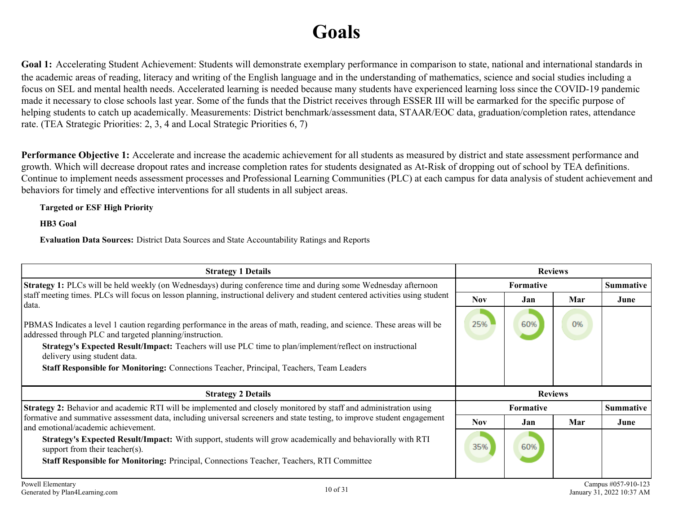## **Goals**

Goal 1: Accelerating Student Achievement: Students will demonstrate exemplary performance in comparison to state, national and international standards in the academic areas of reading, literacy and writing of the English language and in the understanding of mathematics, science and social studies including a focus on SEL and mental health needs. Accelerated learning is needed because many students have experienced learning loss since the COVID-19 pandemic made it necessary to close schools last year. Some of the funds that the District receives through ESSER III will be earmarked for the specific purpose of helping students to catch up academically. Measurements: District benchmark/assessment data, STAAR/EOC data, graduation/completion rates, attendance rate. (TEA Strategic Priorities: 2, 3, 4 and Local Strategic Priorities 6, 7)

**Performance Objective 1:** Accelerate and increase the academic achievement for all students as measured by district and state assessment performance and growth. Which will decrease dropout rates and increase completion rates for students designated as At-Risk of dropping out of school by TEA definitions. Continue to implement needs assessment processes and Professional Learning Communities (PLC) at each campus for data analysis of student achievement and behaviors for timely and effective interventions for all students in all subject areas.

#### **Targeted or ESF High Priority**

**HB3 Goal**

**Evaluation Data Sources:** District Data Sources and State Accountability Ratings and Reports

| <b>Strategy 1 Details</b>                                                                                                                                                                                                                                                                                                                                                                                                          | <b>Reviews</b> |                  |     |                  |
|------------------------------------------------------------------------------------------------------------------------------------------------------------------------------------------------------------------------------------------------------------------------------------------------------------------------------------------------------------------------------------------------------------------------------------|----------------|------------------|-----|------------------|
| Strategy 1: PLCs will be held weekly (on Wednesdays) during conference time and during some Wednesday afternoon                                                                                                                                                                                                                                                                                                                    |                | <b>Formative</b> |     | <b>Summative</b> |
| staff meeting times. PLCs will focus on lesson planning, instructional delivery and student centered activities using student<br>data.                                                                                                                                                                                                                                                                                             | <b>Nov</b>     | Jan              | Mar | June             |
| PBMAS Indicates a level 1 caution regarding performance in the areas of math, reading, and science. These areas will be<br>addressed through PLC and targeted planning/instruction.<br><b>Strategy's Expected Result/Impact:</b> Teachers will use PLC time to plan/implement/reflect on instructional<br>delivery using student data.<br>Staff Responsible for Monitoring: Connections Teacher, Principal, Teachers, Team Leaders | 25%            | 60%              | 0%  |                  |
| <b>Strategy 2 Details</b>                                                                                                                                                                                                                                                                                                                                                                                                          |                | <b>Reviews</b>   |     |                  |
| <b>Strategy 2:</b> Behavior and academic RTI will be implemented and closely monitored by staff and administration using                                                                                                                                                                                                                                                                                                           |                | <b>Formative</b> |     | Summative        |
| formative and summative assessment data, including universal screeners and state testing, to improve student engagement<br>and emotional/academic achievement.                                                                                                                                                                                                                                                                     | <b>Nov</b>     | Jan              | Mar | June             |
| Strategy's Expected Result/Impact: With support, students will grow academically and behaviorally with RTI<br>support from their teacher(s).<br><b>Staff Responsible for Monitoring:</b> Principal, Connections Teacher, Teachers, RTI Committee                                                                                                                                                                                   | 35%            | 60%              |     |                  |
|                                                                                                                                                                                                                                                                                                                                                                                                                                    |                |                  |     |                  |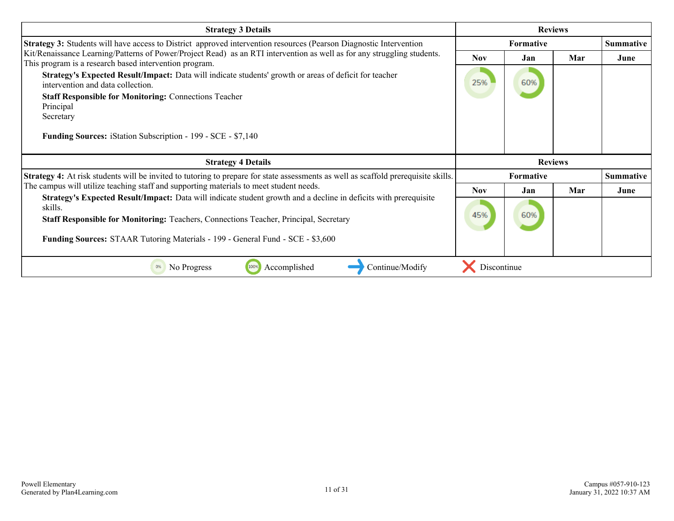| <b>Strategy 3 Details</b>                                                                                                                                                                                                    | <b>Reviews</b> |                  |     |                  |
|------------------------------------------------------------------------------------------------------------------------------------------------------------------------------------------------------------------------------|----------------|------------------|-----|------------------|
| Strategy 3: Students will have access to District approved intervention resources (Pearson Diagnostic Intervention                                                                                                           |                | <b>Formative</b> |     | <b>Summative</b> |
| Kit/Renaissance Learning/Patterns of Power/Project Read) as an RTI intervention as well as for any struggling students.<br>This program is a research based intervention program.                                            | <b>Nov</b>     | Jan              | Mar | June             |
| Strategy's Expected Result/Impact: Data will indicate students' growth or areas of deficit for teacher<br>intervention and data collection.                                                                                  | 25%            | 60%              |     |                  |
| <b>Staff Responsible for Monitoring: Connections Teacher</b>                                                                                                                                                                 |                |                  |     |                  |
| Principal<br>Secretary                                                                                                                                                                                                       |                |                  |     |                  |
| <b>Funding Sources:</b> iStation Subscription - 199 - SCE - \$7,140                                                                                                                                                          |                |                  |     |                  |
|                                                                                                                                                                                                                              |                |                  |     |                  |
| <b>Strategy 4 Details</b>                                                                                                                                                                                                    |                | <b>Reviews</b>   |     |                  |
| Strategy 4: At risk students will be invited to tutoring to prepare for state assessments as well as scaffold prerequisite skills.<br>The campus will utilize teaching staff and supporting materials to meet student needs. |                | Formative        |     | <b>Summative</b> |
| Strategy's Expected Result/Impact: Data will indicate student growth and a decline in deficits with prerequisite<br>skills.                                                                                                  | <b>Nov</b>     | Jan              | Mar | June             |
| <b>Staff Responsible for Monitoring:</b> Teachers, Connections Teacher, Principal, Secretary                                                                                                                                 | 45%            | 60%              |     |                  |
| <b>Funding Sources:</b> STAAR Tutoring Materials - 199 - General Fund - SCE - \$3,600                                                                                                                                        |                |                  |     |                  |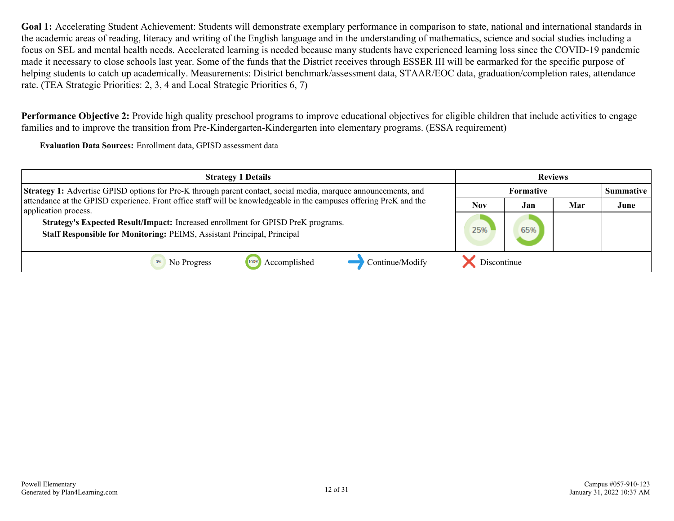**Performance Objective 2:** Provide high quality preschool programs to improve educational objectives for eligible children that include activities to engage families and to improve the transition from Pre-Kindergarten-Kindergarten into elementary programs. (ESSA requirement)

**Evaluation Data Sources:** Enrollment data, GPISD assessment data

| <b>Strategy 1 Details</b>                                                                                                                                   | <b>Reviews</b>   |     |     |                  |
|-------------------------------------------------------------------------------------------------------------------------------------------------------------|------------------|-----|-----|------------------|
| Strategy 1: Advertise GPISD options for Pre-K through parent contact, social media, marquee announcements, and                                              | <b>Formative</b> |     |     | <b>Summative</b> |
| attendance at the GPISD experience. Front office staff will be knowledgeable in the campuses offering PreK and the<br>application process.                  | <b>Nov</b>       | Jan | Mar | June             |
| Strategy's Expected Result/Impact: Increased enrollment for GPISD PreK programs.<br>Staff Responsible for Monitoring: PEIMS, Assistant Principal, Principal | 25%              | 65% |     |                  |
| Continue/Modify<br>Accomplished<br>No Progress                                                                                                              | Discontinue      |     |     |                  |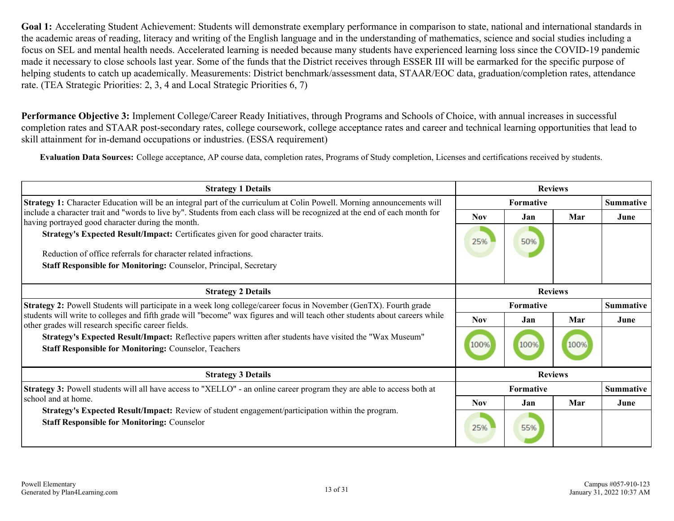**Performance Objective 3:** Implement College/Career Ready Initiatives, through Programs and Schools of Choice, with annual increases in successful completion rates and STAAR post-secondary rates, college coursework, college acceptance rates and career and technical learning opportunities that lead to skill attainment for in-demand occupations or industries. (ESSA requirement)

**Evaluation Data Sources:** College acceptance, AP course data, completion rates, Programs of Study completion, Licenses and certifications received by students.

| <b>Strategy 1 Details</b>                                                                                                                                                         | <b>Reviews</b>   |                  |                |                  |
|-----------------------------------------------------------------------------------------------------------------------------------------------------------------------------------|------------------|------------------|----------------|------------------|
| Strategy 1: Character Education will be an integral part of the curriculum at Colin Powell. Morning announcements will                                                            |                  | <b>Formative</b> |                | <b>Summative</b> |
| include a character trait and "words to live by". Students from each class will be recognized at the end of each month for<br>having portrayed good character during the month.   | <b>Nov</b>       | Jan              | Mar            | June             |
| Strategy's Expected Result/Impact: Certificates given for good character traits.                                                                                                  | 25%              | 50%              |                |                  |
| Reduction of office referrals for character related infractions.                                                                                                                  |                  |                  |                |                  |
| <b>Staff Responsible for Monitoring: Counselor, Principal, Secretary</b>                                                                                                          |                  |                  |                |                  |
|                                                                                                                                                                                   |                  |                  |                |                  |
| <b>Strategy 2 Details</b>                                                                                                                                                         | <b>Reviews</b>   |                  |                |                  |
| <b>Strategy 2:</b> Powell Students will participate in a week long college/career focus in November (GenTX). Fourth grade                                                         | <b>Formative</b> |                  |                | <b>Summative</b> |
| students will write to colleges and fifth grade will "become" wax figures and will teach other students about careers while<br>other grades will research specific career fields. | <b>Nov</b>       | Jan              | Mar            | June             |
| Strategy's Expected Result/Impact: Reflective papers written after students have visited the "Wax Museum"<br><b>Staff Responsible for Monitoring: Counselor, Teachers</b>         | 100%             | 100%             | 100%           |                  |
| <b>Strategy 3 Details</b>                                                                                                                                                         |                  |                  | <b>Reviews</b> |                  |
| <b>Strategy 3:</b> Powell students will all have access to "XELLO" - an online career program they are able to access both at                                                     |                  | <b>Formative</b> |                | <b>Summative</b> |
| school and at home.                                                                                                                                                               | <b>Nov</b>       | Jan              | Mar            | June             |
| Strategy's Expected Result/Impact: Review of student engagement/participation within the program.<br><b>Staff Responsible for Monitoring: Counselor</b>                           | 25%              | 55%              |                |                  |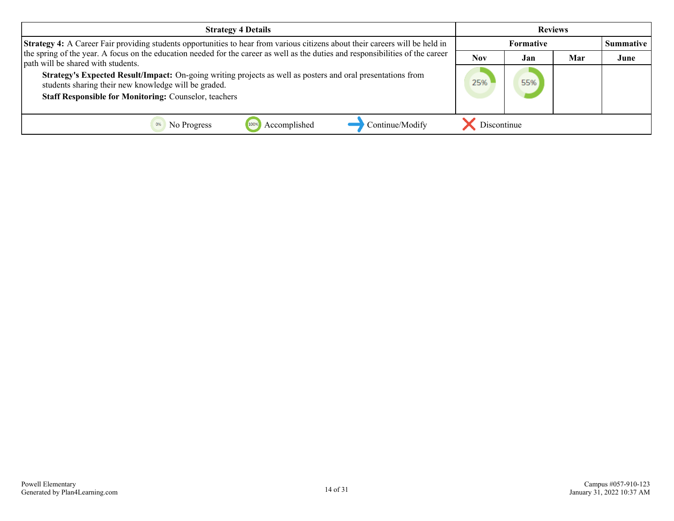| <b>Strategy 4 Details</b>                                                                                                                                             | <b>Reviews</b>   |     |     |                  |
|-----------------------------------------------------------------------------------------------------------------------------------------------------------------------|------------------|-----|-----|------------------|
| <b>Strategy 4:</b> A Career Fair providing students opportunities to hear from various citizens about their careers will be held in                                   | <b>Formative</b> |     |     | <b>Summative</b> |
| the spring of the year. A focus on the education needed for the career as well as the duties and responsibilities of the career<br>path will be shared with students. | <b>Nov</b>       | Jan | Mar | June             |
| Strategy's Expected Result/Impact: On-going writing projects as well as posters and oral presentations from<br>students sharing their new knowledge will be graded.   | 25%              | 55% |     |                  |
| <b>Staff Responsible for Monitoring: Counselor, teachers</b>                                                                                                          |                  |     |     |                  |
| Continue/Modify<br>Accomplished<br>No Progress                                                                                                                        | Discontinue      |     |     |                  |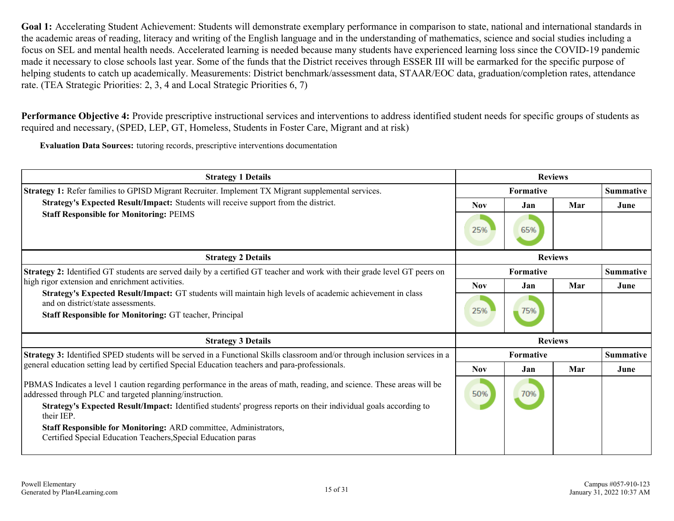**Performance Objective 4:** Provide prescriptive instructional services and interventions to address identified student needs for specific groups of students as required and necessary, (SPED, LEP, GT, Homeless, Students in Foster Care, Migrant and at risk)

**Evaluation Data Sources:** tutoring records, prescriptive interventions documentation

| <b>Strategy 1 Details</b>                                                                                                                                                           |                  | <b>Reviews</b>   |     |                  |                  |  |  |
|-------------------------------------------------------------------------------------------------------------------------------------------------------------------------------------|------------------|------------------|-----|------------------|------------------|--|--|
| <b>Strategy 1:</b> Refer families to GPISD Migrant Recruiter. Implement TX Migrant supplemental services.                                                                           |                  | <b>Formative</b> |     | <b>Summative</b> |                  |  |  |
| Strategy's Expected Result/Impact: Students will receive support from the district.                                                                                                 | <b>Nov</b>       | Jan              | Mar | June             |                  |  |  |
| <b>Staff Responsible for Monitoring: PEIMS</b>                                                                                                                                      | 25%              | 65%              |     |                  |                  |  |  |
| <b>Strategy 2 Details</b>                                                                                                                                                           | <b>Reviews</b>   |                  |     |                  |                  |  |  |
| <b>Strategy 2:</b> Identified GT students are served daily by a certified GT teacher and work with their grade level GT peers on                                                    | <b>Formative</b> |                  |     | <b>Summative</b> |                  |  |  |
| high rigor extension and enrichment activities.                                                                                                                                     | <b>Nov</b>       | Jan              | Mar | June             |                  |  |  |
| Strategy's Expected Result/Impact: GT students will maintain high levels of academic achievement in class                                                                           |                  |                  |     |                  |                  |  |  |
| and on district/state assessments.<br>Staff Responsible for Monitoring: GT teacher, Principal                                                                                       | 25%              | 75%              |     |                  |                  |  |  |
| <b>Strategy 3 Details</b>                                                                                                                                                           |                  | <b>Reviews</b>   |     |                  |                  |  |  |
| Strategy 3: Identified SPED students will be served in a Functional Skills classroom and/or through inclusion services in a                                                         |                  | <b>Formative</b> |     |                  | <b>Summative</b> |  |  |
| general education setting lead by certified Special Education teachers and para-professionals.                                                                                      | <b>Nov</b>       | Jan              | Mar | June             |                  |  |  |
| PBMAS Indicates a level 1 caution regarding performance in the areas of math, reading, and science. These areas will be<br>addressed through PLC and targeted planning/instruction. | 50%              | 70%              |     |                  |                  |  |  |
| Strategy's Expected Result/Impact: Identified students' progress reports on their individual goals according to<br>their IEP.                                                       |                  |                  |     |                  |                  |  |  |
| Staff Responsible for Monitoring: ARD committee, Administrators,                                                                                                                    |                  |                  |     |                  |                  |  |  |
| Certified Special Education Teachers, Special Education paras                                                                                                                       |                  |                  |     |                  |                  |  |  |
|                                                                                                                                                                                     |                  |                  |     |                  |                  |  |  |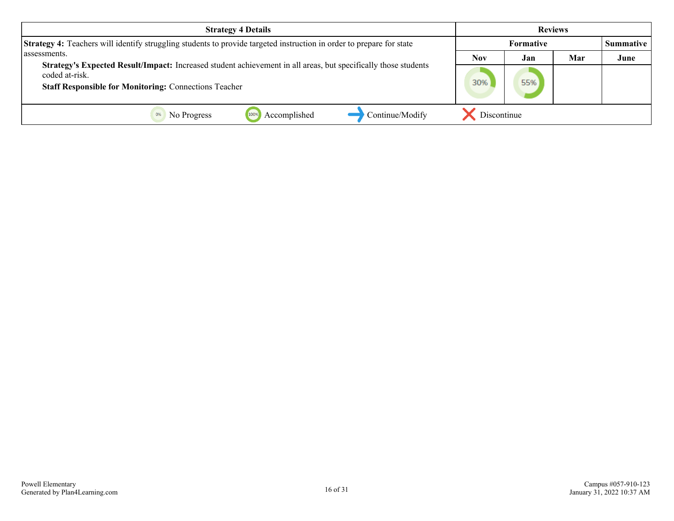| <b>Strategy 4 Details</b>                                                                                                                                                                        | <b>Reviews</b>   |     |     |                  |
|--------------------------------------------------------------------------------------------------------------------------------------------------------------------------------------------------|------------------|-----|-----|------------------|
| <b>Strategy 4:</b> Teachers will identify struggling students to provide targeted instruction in order to prepare for state                                                                      | <b>Formative</b> |     |     | <b>Summative</b> |
| assessments.                                                                                                                                                                                     | Nov              | Jan | Mar | June             |
| Strategy's Expected Result/Impact: Increased student achievement in all areas, but specifically those students<br>coded at-risk.<br><b>Staff Responsible for Monitoring: Connections Teacher</b> | 30%              | 55% |     |                  |
| Continue/Modify<br>Accomplished<br>No Progress                                                                                                                                                   | Discontinue      |     |     |                  |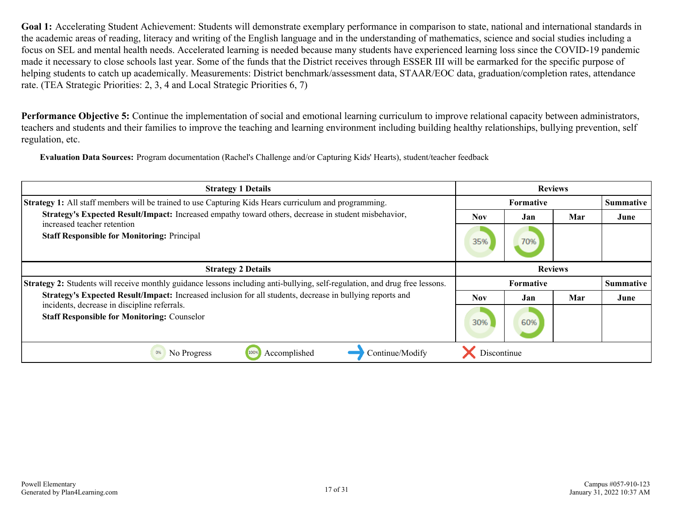**Performance Objective 5:** Continue the implementation of social and emotional learning curriculum to improve relational capacity between administrators, teachers and students and their families to improve the teaching and learning environment including building healthy relationships, bullying prevention, self regulation, etc.

**Evaluation Data Sources:** Program documentation (Rachel's Challenge and/or Capturing Kids' Hearts), student/teacher feedback

| <b>Strategy 1 Details</b>                                                                                                           | <b>Reviews</b>   |                  |     |                  |
|-------------------------------------------------------------------------------------------------------------------------------------|------------------|------------------|-----|------------------|
| <b>Strategy 1:</b> All staff members will be trained to use Capturing Kids Hears curriculum and programming.                        | <b>Formative</b> |                  |     | <b>Summative</b> |
| Strategy's Expected Result/Impact: Increased empathy toward others, decrease in student misbehavior,<br>increased teacher retention | <b>Nov</b>       | Jan              | Mar | June             |
| <b>Staff Responsible for Monitoring: Principal</b>                                                                                  | 35%              | 70%              |     |                  |
| <b>Strategy 2 Details</b>                                                                                                           |                  | <b>Reviews</b>   |     |                  |
| <b>Strategy 2:</b> Students will receive monthly guidance lessons including anti-bullying, self-regulation, and drug free lessons.  |                  | <b>Formative</b> |     | <b>Summative</b> |
| Strategy's Expected Result/Impact: Increased inclusion for all students, decrease in bullying reports and                           | <b>Nov</b>       | Jan              | Mar | June             |
| incidents, decrease in discipline referrals.<br><b>Staff Responsible for Monitoring: Counselor</b>                                  | 30%              | 60%              |     |                  |
| Accomplished<br>Continue/Modify<br>0%<br>No Progress                                                                                | Discontinue      |                  |     |                  |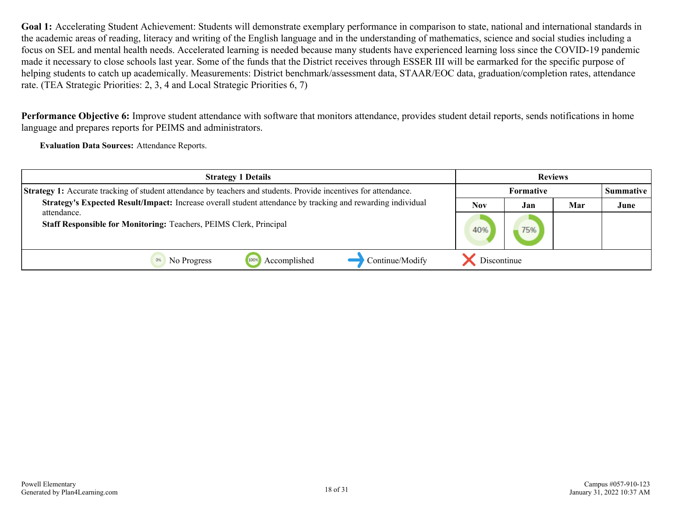**Performance Objective 6:** Improve student attendance with software that monitors attendance, provides student detail reports, sends notifications in home language and prepares reports for PEIMS and administrators.

**Evaluation Data Sources:** Attendance Reports.

| <b>Strategy 1 Details</b>                                                                                               | <b>Reviews</b>   |     |     |                  |
|-------------------------------------------------------------------------------------------------------------------------|------------------|-----|-----|------------------|
| <b>Strategy 1:</b> Accurate tracking of student attendance by teachers and students. Provide incentives for attendance. | <b>Formative</b> |     |     | <b>Summative</b> |
| Strategy's Expected Result/Impact: Increase overall student attendance by tracking and rewarding individual             | Nov              | Jan | Mar | June             |
| attendance.<br>Staff Responsible for Monitoring: Teachers, PEIMS Clerk, Principal                                       | 40%              | 75% |     |                  |
| Continue/Modify<br>Accomplished<br>No Progress                                                                          | Discontinue      |     |     |                  |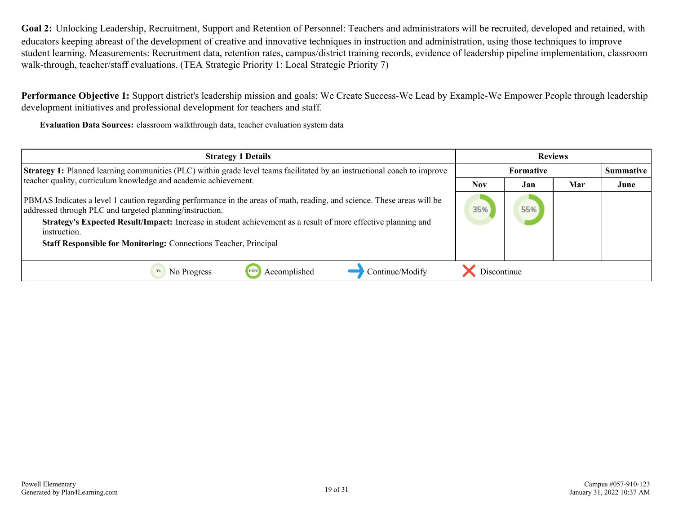**Goal 2:** Unlocking Leadership, Recruitment, Support and Retention of Personnel: Teachers and administrators will be recruited, developed and retained, with educators keeping abreast of the development of creative and innovative techniques in instruction and administration, using those techniques to improve student learning. Measurements: Recruitment data, retention rates, campus/district training records, evidence of leadership pipeline implementation, classroom walk-through, teacher/staff evaluations. (TEA Strategic Priority 1: Local Strategic Priority 7)

**Performance Objective 1:** Support district's leadership mission and goals: We Create Success-We Lead by Example-We Empower People through leadership development initiatives and professional development for teachers and staff.

**Evaluation Data Sources:** classroom walkthrough data, teacher evaluation system data

| <b>Strategy 1 Details</b>                                                                                                                                                                                                                                                                                                                                                                       | <b>Reviews</b>   |     |     |      |
|-------------------------------------------------------------------------------------------------------------------------------------------------------------------------------------------------------------------------------------------------------------------------------------------------------------------------------------------------------------------------------------------------|------------------|-----|-----|------|
| <b>Strategy 1:</b> Planned learning communities (PLC) within grade level teams facilitated by an instructional coach to improve                                                                                                                                                                                                                                                                 | <b>Formative</b> |     |     |      |
| teacher quality, curriculum knowledge and academic achievement.                                                                                                                                                                                                                                                                                                                                 | <b>Nov</b>       | Jan | Mar | June |
| PBMAS Indicates a level 1 caution regarding performance in the areas of math, reading, and science. These areas will be<br>addressed through PLC and targeted planning/instruction.<br>Strategy's Expected Result/Impact: Increase in student achievement as a result of more effective planning and<br>instruction.<br><b>Staff Responsible for Monitoring: Connections Teacher, Principal</b> | 35%              | 55% |     |      |
| Accomplished<br>Continue/Modify<br>No Progress                                                                                                                                                                                                                                                                                                                                                  | Discontinue      |     |     |      |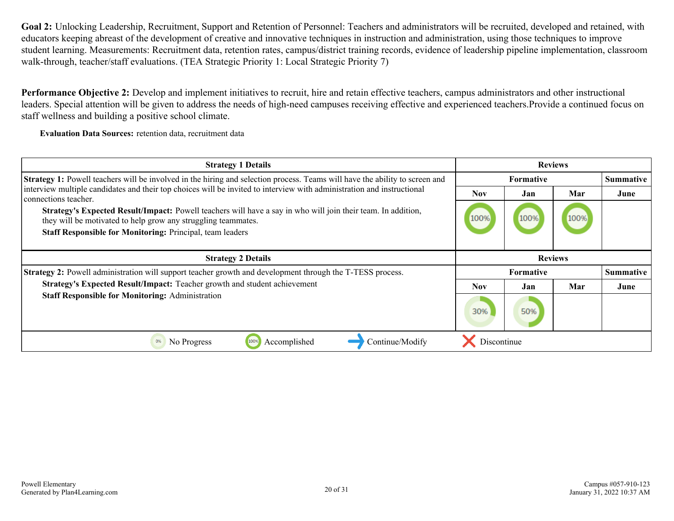**Goal 2:** Unlocking Leadership, Recruitment, Support and Retention of Personnel: Teachers and administrators will be recruited, developed and retained, with educators keeping abreast of the development of creative and innovative techniques in instruction and administration, using those techniques to improve student learning. Measurements: Recruitment data, retention rates, campus/district training records, evidence of leadership pipeline implementation, classroom walk-through, teacher/staff evaluations. (TEA Strategic Priority 1: Local Strategic Priority 7)

**Performance Objective 2:** Develop and implement initiatives to recruit, hire and retain effective teachers, campus administrators and other instructional leaders. Special attention will be given to address the needs of high-need campuses receiving effective and experienced teachers.Provide a continued focus on staff wellness and building a positive school climate.

**Evaluation Data Sources:** retention data, recruitment data

| <b>Strategy 1 Details</b>                                                                                                                                                     | <b>Reviews</b> |                  |      |                  |
|-------------------------------------------------------------------------------------------------------------------------------------------------------------------------------|----------------|------------------|------|------------------|
| <b>Strategy 1:</b> Powell teachers will be involved in the hiring and selection process. Teams will have the ability to screen and                                            |                | <b>Formative</b> |      | <b>Summative</b> |
| interview multiple candidates and their top choices will be invited to interview with administration and instructional<br>connections teacher.                                | <b>Nov</b>     | Jan              | Mar  | June             |
| Strategy's Expected Result/Impact: Powell teachers will have a say in who will join their team. In addition,<br>they will be motivated to help grow any struggling teammates. | 100%           | 100%             | 100% |                  |
| Staff Responsible for Monitoring: Principal, team leaders                                                                                                                     |                |                  |      |                  |
| <b>Strategy 2 Details</b>                                                                                                                                                     |                | <b>Reviews</b>   |      |                  |
| Strategy 2: Powell administration will support teacher growth and development through the T-TESS process.                                                                     |                | <b>Formative</b> |      | <b>Summative</b> |
| Strategy's Expected Result/Impact: Teacher growth and student achievement                                                                                                     | <b>Nov</b>     | Jan              | Mar  | June             |
| <b>Staff Responsible for Monitoring: Administration</b>                                                                                                                       | 30%            | 50%              |      |                  |
| Accomplished<br>Continue/Modify<br>0%<br>No Progress<br>100%                                                                                                                  | Discontinue    |                  |      |                  |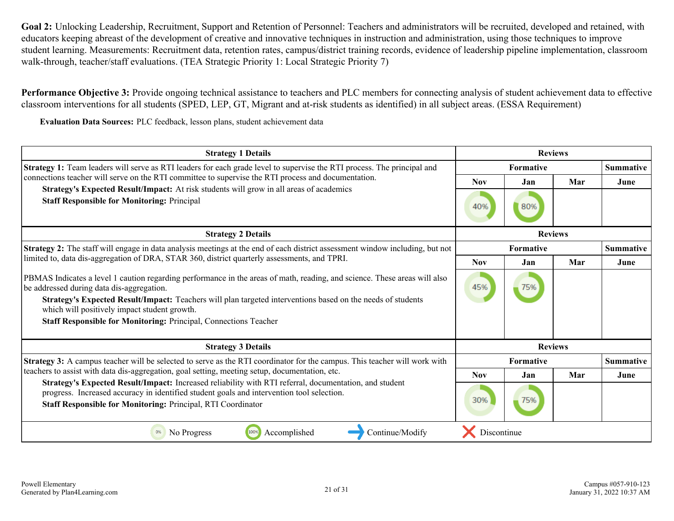**Goal 2:** Unlocking Leadership, Recruitment, Support and Retention of Personnel: Teachers and administrators will be recruited, developed and retained, with educators keeping abreast of the development of creative and innovative techniques in instruction and administration, using those techniques to improve student learning. Measurements: Recruitment data, retention rates, campus/district training records, evidence of leadership pipeline implementation, classroom walk-through, teacher/staff evaluations. (TEA Strategic Priority 1: Local Strategic Priority 7)

**Performance Objective 3:** Provide ongoing technical assistance to teachers and PLC members for connecting analysis of student achievement data to effective classroom interventions for all students (SPED, LEP, GT, Migrant and at-risk students as identified) in all subject areas. (ESSA Requirement)

**Evaluation Data Sources:** PLC feedback, lesson plans, student achievement data

| <b>Strategy 1 Details</b>                                                                                                                                                                                                                                                                                                                                                                                 | <b>Reviews</b>   |                               |     |                  |
|-----------------------------------------------------------------------------------------------------------------------------------------------------------------------------------------------------------------------------------------------------------------------------------------------------------------------------------------------------------------------------------------------------------|------------------|-------------------------------|-----|------------------|
| <b>Strategy 1:</b> Team leaders will serve as RTI leaders for each grade level to supervise the RTI process. The principal and                                                                                                                                                                                                                                                                            |                  | Summative<br><b>Formative</b> |     |                  |
| connections teacher will serve on the RTI committee to supervise the RTI process and documentation.                                                                                                                                                                                                                                                                                                       |                  | Jan                           | Mar | June             |
| Strategy's Expected Result/Impact: At risk students will grow in all areas of academics<br><b>Staff Responsible for Monitoring: Principal</b>                                                                                                                                                                                                                                                             | 40%              | 80%                           |     |                  |
| <b>Strategy 2 Details</b>                                                                                                                                                                                                                                                                                                                                                                                 |                  | <b>Reviews</b>                |     |                  |
| <b>Strategy 2:</b> The staff will engage in data analysis meetings at the end of each district assessment window including, but not                                                                                                                                                                                                                                                                       | <b>Formative</b> |                               |     | <b>Summative</b> |
| limited to, data dis-aggregation of DRA, STAR 360, district quarterly assessments, and TPRI.                                                                                                                                                                                                                                                                                                              |                  | Jan                           | Mar | June             |
| PBMAS Indicates a level 1 caution regarding performance in the areas of math, reading, and science. These areas will also<br>be addressed during data dis-aggregation.<br>Strategy's Expected Result/Impact: Teachers will plan targeted interventions based on the needs of students<br>which will positively impact student growth.<br>Staff Responsible for Monitoring: Principal, Connections Teacher | 45%              | 75%                           |     |                  |
| <b>Strategy 3 Details</b>                                                                                                                                                                                                                                                                                                                                                                                 |                  | <b>Reviews</b>                |     |                  |
| Strategy 3: A campus teacher will be selected to serve as the RTI coordinator for the campus. This teacher will work with                                                                                                                                                                                                                                                                                 |                  | <b>Formative</b>              |     | <b>Summative</b> |
| teachers to assist with data dis-aggregation, goal setting, meeting setup, documentation, etc.<br>Strategy's Expected Result/Impact: Increased reliability with RTI referral, documentation, and student<br>progress. Increased accuracy in identified student goals and intervention tool selection.<br>Staff Responsible for Monitoring: Principal, RTI Coordinator                                     |                  | Jan                           | Mar | June             |
|                                                                                                                                                                                                                                                                                                                                                                                                           |                  | 75%                           |     |                  |
| Accomplished<br>No Progress<br>100%<br>Continue/Modify                                                                                                                                                                                                                                                                                                                                                    | Discontinue      |                               |     |                  |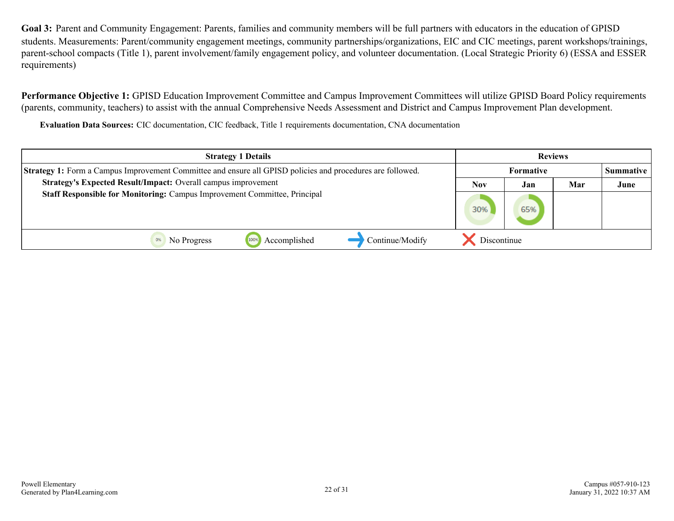Goal 3: Parent and Community Engagement: Parents, families and community members will be full partners with educators in the education of GPISD students. Measurements: Parent/community engagement meetings, community partnerships/organizations, EIC and CIC meetings, parent workshops/trainings, parent-school compacts (Title 1), parent involvement/family engagement policy, and volunteer documentation. (Local Strategic Priority 6) (ESSA and ESSER requirements)

Performance Objective 1: GPISD Education Improvement Committee and Campus Improvement Committees will utilize GPISD Board Policy requirements (parents, community, teachers) to assist with the annual Comprehensive Needs Assessment and District and Campus Improvement Plan development.

**Evaluation Data Sources:** CIC documentation, CIC feedback, Title 1 requirements documentation, CNA documentation

| <b>Strategy 1 Details</b>                                                                                  | <b>Reviews</b>   |     |      |                  |
|------------------------------------------------------------------------------------------------------------|------------------|-----|------|------------------|
| Strategy 1: Form a Campus Improvement Committee and ensure all GPISD policies and procedures are followed. | <b>Formative</b> |     |      | <b>Summative</b> |
| Strategy's Expected Result/Impact: Overall campus improvement<br>Mar<br><b>Nov</b><br>Jan                  |                  |     | June |                  |
| Staff Responsible for Monitoring: Campus Improvement Committee, Principal                                  | 30%              | 65% |      |                  |
| Continue/Modify<br>Accomplished<br>No Progress<br>1009<br>0%                                               | Discontinue      |     |      |                  |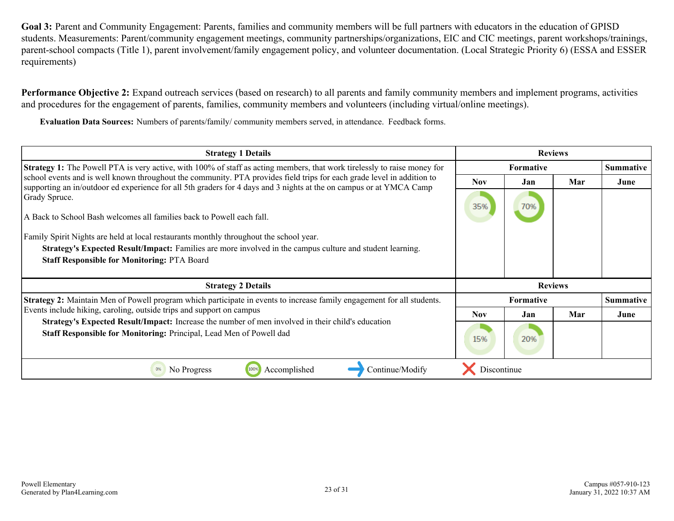**Goal 3:** Parent and Community Engagement: Parents, families and community members will be full partners with educators in the education of GPISD students. Measurements: Parent/community engagement meetings, community partnerships/organizations, EIC and CIC meetings, parent workshops/trainings, parent-school compacts (Title 1), parent involvement/family engagement policy, and volunteer documentation. (Local Strategic Priority 6) (ESSA and ESSER requirements)

**Performance Objective 2:** Expand outreach services (based on research) to all parents and family community members and implement programs, activities and procedures for the engagement of parents, families, community members and volunteers (including virtual/online meetings).

**Evaluation Data Sources:** Numbers of parents/family/ community members served, in attendance. Feedback forms.

| <b>Strategy 1 Details</b>                                                                                                                                                                                                                     | <b>Reviews</b> |                  |                  |                  |  |
|-----------------------------------------------------------------------------------------------------------------------------------------------------------------------------------------------------------------------------------------------|----------------|------------------|------------------|------------------|--|
| <b>Strategy 1:</b> The Powell PTA is very active, with 100% of staff as acting members, that work tirelessly to raise money for                                                                                                               |                | <b>Formative</b> | <b>Summative</b> |                  |  |
| school events and is well known throughout the community. PTA provides field trips for each grade level in addition to<br>supporting an in/outdoor ed experience for all 5th graders for 4 days and 3 nights at the on campus or at YMCA Camp | <b>Nov</b>     | Jan              | Mar              | June             |  |
| Grady Spruce.                                                                                                                                                                                                                                 | 35%            | 70%              |                  |                  |  |
| A Back to School Bash welcomes all families back to Powell each fall.                                                                                                                                                                         |                |                  |                  |                  |  |
| Family Spirit Nights are held at local restaurants monthly throughout the school year.                                                                                                                                                        |                |                  |                  |                  |  |
| <b>Strategy's Expected Result/Impact:</b> Families are more involved in the campus culture and student learning.                                                                                                                              |                |                  |                  |                  |  |
| <b>Staff Responsible for Monitoring: PTA Board</b>                                                                                                                                                                                            |                |                  |                  |                  |  |
|                                                                                                                                                                                                                                               |                |                  |                  |                  |  |
| <b>Strategy 2 Details</b>                                                                                                                                                                                                                     |                | <b>Reviews</b>   |                  |                  |  |
| Strategy 2: Maintain Men of Powell program which participate in events to increase family engagement for all students.                                                                                                                        |                | <b>Formative</b> |                  | <b>Summative</b> |  |
| Events include hiking, caroling, outside trips and support on campus                                                                                                                                                                          | <b>Nov</b>     | Jan              | Mar              | June             |  |
| Strategy's Expected Result/Impact: Increase the number of men involved in their child's education<br>Staff Responsible for Monitoring: Principal, Lead Men of Powell dad                                                                      | 15%            | 20%              |                  |                  |  |
| Continue/Modify<br>No Progress<br>100%<br>Accomplished<br>0%                                                                                                                                                                                  | Discontinue    |                  |                  |                  |  |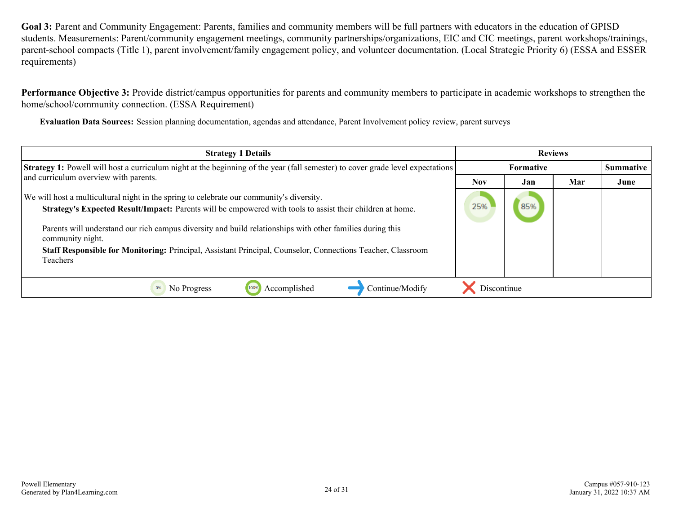**Goal 3:** Parent and Community Engagement: Parents, families and community members will be full partners with educators in the education of GPISD students. Measurements: Parent/community engagement meetings, community partnerships/organizations, EIC and CIC meetings, parent workshops/trainings, parent-school compacts (Title 1), parent involvement/family engagement policy, and volunteer documentation. (Local Strategic Priority 6) (ESSA and ESSER requirements)

**Performance Objective 3:** Provide district/campus opportunities for parents and community members to participate in academic workshops to strengthen the home/school/community connection. (ESSA Requirement)

**Evaluation Data Sources:** Session planning documentation, agendas and attendance, Parent Involvement policy review, parent surveys

| <b>Strategy 1 Details</b>                                                                                                                                                                                                                                                                                                                                                                                                                                         |                  | <b>Reviews</b> |     |           |
|-------------------------------------------------------------------------------------------------------------------------------------------------------------------------------------------------------------------------------------------------------------------------------------------------------------------------------------------------------------------------------------------------------------------------------------------------------------------|------------------|----------------|-----|-----------|
| <b>Strategy 1:</b> Powell will host a curriculum night at the beginning of the year (fall semester) to cover grade level expectations                                                                                                                                                                                                                                                                                                                             | <b>Formative</b> |                |     | Summative |
| and curriculum overview with parents.                                                                                                                                                                                                                                                                                                                                                                                                                             | <b>Nov</b>       | Jan            | Mar | June      |
| We will host a multicultural night in the spring to celebrate our community's diversity.<br>Strategy's Expected Result/Impact: Parents will be empowered with tools to assist their children at home.<br>Parents will understand our rich campus diversity and build relationships with other families during this<br>community night.<br>Staff Responsible for Monitoring: Principal, Assistant Principal, Counselor, Connections Teacher, Classroom<br>Teachers | 85%<br>25%       |                |     |           |
| Accomplished<br>Continue/Modify<br>0%<br>No Progress<br>100%                                                                                                                                                                                                                                                                                                                                                                                                      | Discontinue      |                |     |           |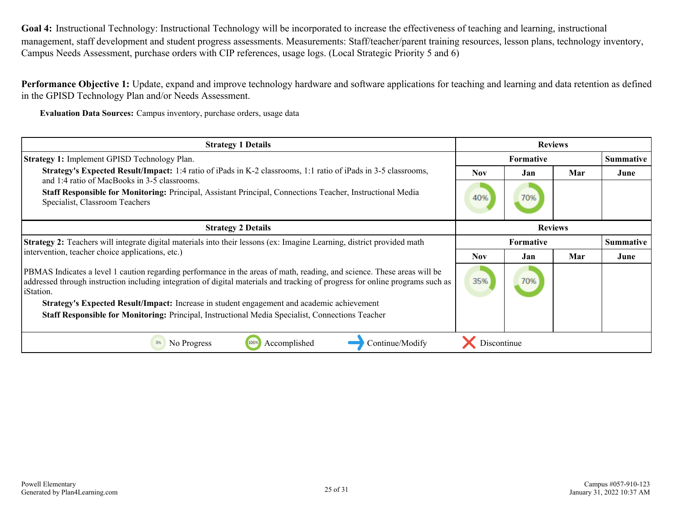**Goal 4:** Instructional Technology: Instructional Technology will be incorporated to increase the effectiveness of teaching and learning, instructional management, staff development and student progress assessments. Measurements: Staff/teacher/parent training resources, lesson plans, technology inventory, Campus Needs Assessment, purchase orders with CIP references, usage logs. (Local Strategic Priority 5 and 6)

**Performance Objective 1:** Update, expand and improve technology hardware and software applications for teaching and learning and data retention as defined in the GPISD Technology Plan and/or Needs Assessment.

**Evaluation Data Sources:** Campus inventory, purchase orders, usage data

| <b>Strategy 1 Details</b>                                                                                                                                                                                                                                             | <b>Reviews</b>   |                                      |     |                  |
|-----------------------------------------------------------------------------------------------------------------------------------------------------------------------------------------------------------------------------------------------------------------------|------------------|--------------------------------------|-----|------------------|
| <b>Strategy 1: Implement GPISD Technology Plan.</b>                                                                                                                                                                                                                   | <b>Formative</b> |                                      |     | <b>Summative</b> |
| <b>Strategy's Expected Result/Impact:</b> 1:4 ratio of iPads in K-2 classrooms, 1:1 ratio of iPads in 3-5 classrooms,<br>and 1:4 ratio of MacBooks in 3-5 classrooms.                                                                                                 |                  | Jan                                  | Mar | June             |
| Staff Responsible for Monitoring: Principal, Assistant Principal, Connections Teacher, Instructional Media<br>Specialist, Classroom Teachers                                                                                                                          | 40%              | 70%                                  |     |                  |
| <b>Strategy 2 Details</b>                                                                                                                                                                                                                                             | <b>Reviews</b>   |                                      |     |                  |
| Strategy 2: Teachers will integrate digital materials into their lessons (ex: Imagine Learning, district provided math<br>intervention, teacher choice applications, etc.)                                                                                            |                  | <b>Formative</b><br><b>Summative</b> |     |                  |
|                                                                                                                                                                                                                                                                       |                  | Jan                                  | Mar | June             |
| PBMAS Indicates a level 1 caution regarding performance in the areas of math, reading, and science. These areas will be<br>addressed through instruction including integration of digital materials and tracking of progress for online programs such as<br>iStation. | 35%              | 70%                                  |     |                  |
| Strategy's Expected Result/Impact: Increase in student engagement and academic achievement                                                                                                                                                                            |                  |                                      |     |                  |
| Staff Responsible for Monitoring: Principal, Instructional Media Specialist, Connections Teacher                                                                                                                                                                      |                  |                                      |     |                  |
| Continue/Modify<br>No Progress<br>Accomplished<br>0%                                                                                                                                                                                                                  | Discontinue      |                                      |     |                  |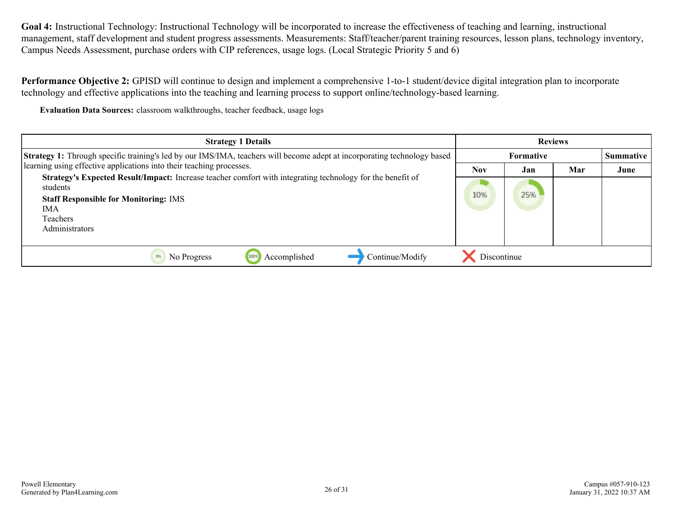**Goal 4:** Instructional Technology: Instructional Technology will be incorporated to increase the effectiveness of teaching and learning, instructional management, staff development and student progress assessments. Measurements: Staff/teacher/parent training resources, lesson plans, technology inventory, Campus Needs Assessment, purchase orders with CIP references, usage logs. (Local Strategic Priority 5 and 6)

**Performance Objective 2:** GPISD will continue to design and implement a comprehensive 1-to-1 student/device digital integration plan to incorporate technology and effective applications into the teaching and learning process to support online/technology-based learning.

**Evaluation Data Sources:** classroom walkthroughs, teacher feedback, usage logs

| <b>Strategy 1 Details</b>                                                                                                                                                                                          |             | <b>Reviews</b>   |     |      |
|--------------------------------------------------------------------------------------------------------------------------------------------------------------------------------------------------------------------|-------------|------------------|-----|------|
| Strategy 1: Through specific training's led by our IMS/IMA, teachers will become adept at incorporating technology based                                                                                           |             | <b>Summative</b> |     |      |
| learning using effective applications into their teaching processes.                                                                                                                                               | Nov         | Jan              | Mar | June |
| Strategy's Expected Result/Impact: Increase teacher comfort with integrating technology for the benefit of<br>students<br><b>Staff Responsible for Monitoring: IMS</b><br><b>IMA</b><br>Teachers<br>Administrators |             | 25%              |     |      |
| Accomplished<br>Continue/Modify<br>No Progress<br>1009                                                                                                                                                             | Discontinue |                  |     |      |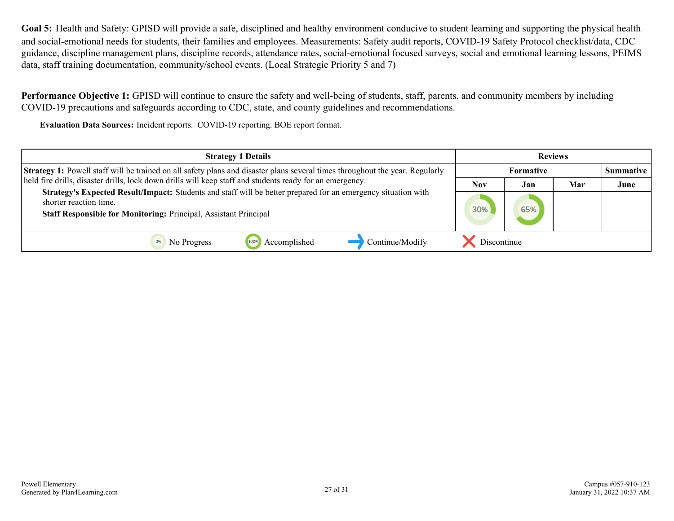**Goal 5:** Health and Safety: GPISD will provide a safe, disciplined and healthy environment conducive to student learning and supporting the physical health and social-emotional needs for students, their families and employees. Measurements: Safety audit reports, COVID-19 Safety Protocol checklist/data, CDC guidance, discipline management plans, discipline records, attendance rates, social-emotional focused surveys, social and emotional learning lessons, PEIMS data, staff training documentation, community/school events. (Local Strategic Priority 5 and 7)

**Performance Objective 1:** GPISD will continue to ensure the safety and well-being of students, staff, parents, and community members by including COVID-19 precautions and safeguards according to CDC, state, and county guidelines and recommendations.

**Evaluation Data Sources:** Incident reports. COVID-19 reporting. BOE report format.

| <b>Reviews</b><br><b>Strategy 1 Details</b>                                                                                                                                                                        |             |                  |     |      |
|--------------------------------------------------------------------------------------------------------------------------------------------------------------------------------------------------------------------|-------------|------------------|-----|------|
| <b>Strategy 1:</b> Powell staff will be trained on all safety plans and disaster plans several times throughout the year. Regularly                                                                                |             | <b>Summative</b> |     |      |
| held fire drills, disaster drills, lock down drills will keep staff and students ready for an emergency.                                                                                                           | <b>Nov</b>  | Jan              | Mar | June |
| Strategy's Expected Result/Impact: Students and staff will be better prepared for an emergency situation with<br>shorter reaction time.<br><b>Staff Responsible for Monitoring: Principal, Assistant Principal</b> |             | 65%              |     |      |
| Continue/Modify<br>Accomplished<br>1009<br>No Progress                                                                                                                                                             | Discontinue |                  |     |      |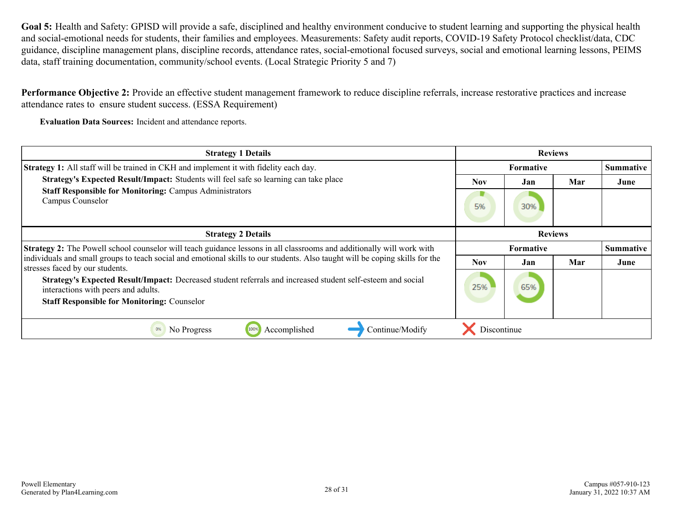**Goal 5:** Health and Safety: GPISD will provide a safe, disciplined and healthy environment conducive to student learning and supporting the physical health and social-emotional needs for students, their families and employees. Measurements: Safety audit reports, COVID-19 Safety Protocol checklist/data, CDC guidance, discipline management plans, discipline records, attendance rates, social-emotional focused surveys, social and emotional learning lessons, PEIMS data, staff training documentation, community/school events. (Local Strategic Priority 5 and 7)

**Performance Objective 2:** Provide an effective student management framework to reduce discipline referrals, increase restorative practices and increase attendance rates to ensure student success. (ESSA Requirement)

**Evaluation Data Sources:** Incident and attendance reports.

| <b>Strategy 1 Details</b>                                                                                                                                                                                | <b>Reviews</b>   |                               |     |           |
|----------------------------------------------------------------------------------------------------------------------------------------------------------------------------------------------------------|------------------|-------------------------------|-----|-----------|
| <b>Strategy 1:</b> All staff will be trained in CKH and implement it with fidelity each day.                                                                                                             | <b>Formative</b> |                               |     | Summative |
| Strategy's Expected Result/Impact: Students will feel safe so learning can take place                                                                                                                    | <b>Nov</b>       | Jan                           | Mar | June      |
| <b>Staff Responsible for Monitoring: Campus Administrators</b><br>Campus Counselor                                                                                                                       |                  | 30%                           |     |           |
| <b>Strategy 2 Details</b>                                                                                                                                                                                | <b>Reviews</b>   |                               |     |           |
| Strategy 2: The Powell school counselor will teach guidance lessons in all classrooms and additionally will work with                                                                                    |                  | Summative<br><b>Formative</b> |     |           |
| individuals and small groups to teach social and emotional skills to our students. Also taught will be coping skills for the<br>stresses faced by our students.                                          | <b>Nov</b>       | Jan                           | Mar | June      |
| Strategy's Expected Result/Impact: Decreased student referrals and increased student self-esteem and social<br>interactions with peers and adults.<br><b>Staff Responsible for Monitoring: Counselor</b> | 25%              | 65%                           |     |           |
|                                                                                                                                                                                                          |                  |                               |     |           |
| Accomplished<br>Continue/Modify<br>No Progress<br>0%<br>100%                                                                                                                                             | Discontinue      |                               |     |           |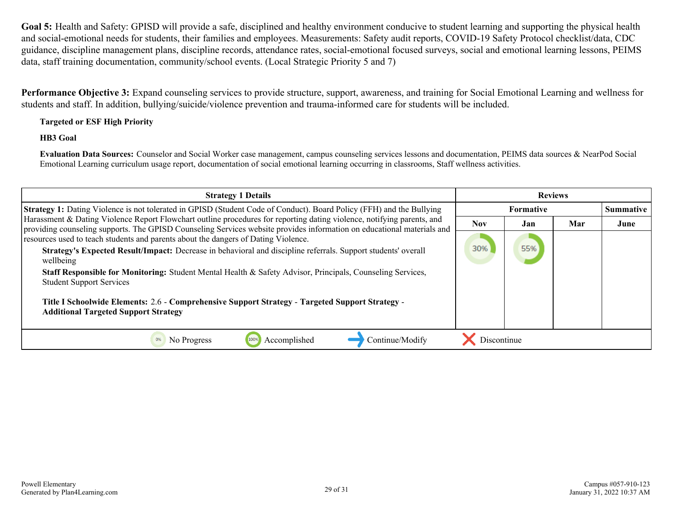**Goal 5:** Health and Safety: GPISD will provide a safe, disciplined and healthy environment conducive to student learning and supporting the physical health and social-emotional needs for students, their families and employees. Measurements: Safety audit reports, COVID-19 Safety Protocol checklist/data, CDC guidance, discipline management plans, discipline records, attendance rates, social-emotional focused surveys, social and emotional learning lessons, PEIMS data, staff training documentation, community/school events. (Local Strategic Priority 5 and 7)

**Performance Objective 3:** Expand counseling services to provide structure, support, awareness, and training for Social Emotional Learning and wellness for students and staff. In addition, bullying/suicide/violence prevention and trauma-informed care for students will be included.

#### **Targeted or ESF High Priority**

**HB3 Goal**

**Evaluation Data Sources:** Counselor and Social Worker case management, campus counseling services lessons and documentation, PEIMS data sources & NearPod Social Emotional Learning curriculum usage report, documentation of social emotional learning occurring in classrooms, Staff wellness activities.

| <b>Reviews</b><br><b>Strategy 1 Details</b>                                                                                                                                                                                                                                                                                                                                                                                                                                                                         |                    |           |     |      |
|---------------------------------------------------------------------------------------------------------------------------------------------------------------------------------------------------------------------------------------------------------------------------------------------------------------------------------------------------------------------------------------------------------------------------------------------------------------------------------------------------------------------|--------------------|-----------|-----|------|
| <b>Strategy 1:</b> Dating Violence is not tolerated in GPISD (Student Code of Conduct). Board Policy (FFH) and the Bullying                                                                                                                                                                                                                                                                                                                                                                                         |                    | Summative |     |      |
| Harassment & Dating Violence Report Flowchart outline procedures for reporting dating violence, notifying parents, and<br>providing counseling supports. The GPISD Counseling Services website provides information on educational materials and                                                                                                                                                                                                                                                                    | <b>Nov</b>         | Jan       | Mar | June |
| resources used to teach students and parents about the dangers of Dating Violence.<br>Strategy's Expected Result/Impact: Decrease in behavioral and discipline referrals. Support students' overall<br>wellbeing<br>Staff Responsible for Monitoring: Student Mental Health & Safety Advisor, Principals, Counseling Services,<br><b>Student Support Services</b><br>Title I Schoolwide Elements: 2.6 - Comprehensive Support Strategy - Targeted Support Strategy -<br><b>Additional Targeted Support Strategy</b> | 30%                | 55%       |     |      |
| No Progress<br>Accomplished<br>Continue/Modify                                                                                                                                                                                                                                                                                                                                                                                                                                                                      | <b>Discontinue</b> |           |     |      |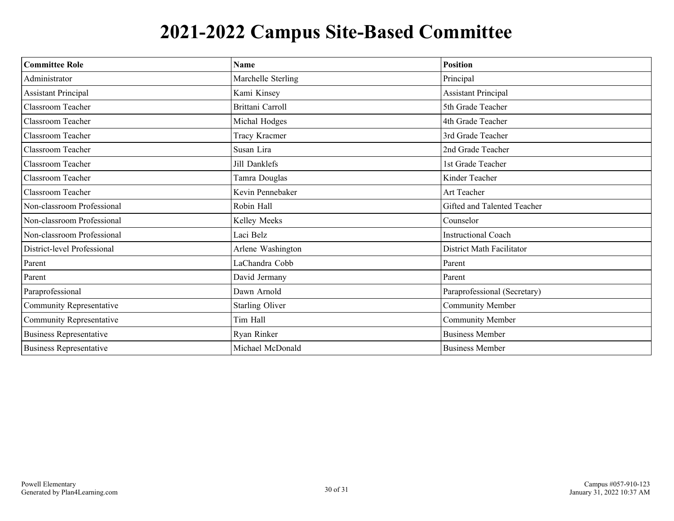## **2021-2022 Campus Site-Based Committee**

| <b>Committee Role</b>           | <b>Name</b>            | <b>Position</b>              |
|---------------------------------|------------------------|------------------------------|
| Administrator                   | Marchelle Sterling     | Principal                    |
| <b>Assistant Principal</b>      | Kami Kinsey            | <b>Assistant Principal</b>   |
| Classroom Teacher               | Brittani Carroll       | 5th Grade Teacher            |
| Classroom Teacher               | Michal Hodges          | 4th Grade Teacher            |
| Classroom Teacher               | Tracy Kracmer          | 3rd Grade Teacher            |
| <b>Classroom Teacher</b>        | Susan Lira             | 2nd Grade Teacher            |
| Classroom Teacher               | Jill Danklefs          | 1st Grade Teacher            |
| Classroom Teacher               | Tamra Douglas          | Kinder Teacher               |
| Classroom Teacher               | Kevin Pennebaker       | Art Teacher                  |
| Non-classroom Professional      | Robin Hall             | Gifted and Talented Teacher  |
| Non-classroom Professional      | Kelley Meeks           | Counselor                    |
| Non-classroom Professional      | Laci Belz              | <b>Instructional Coach</b>   |
| District-level Professional     | Arlene Washington      | District Math Facilitator    |
| Parent                          | LaChandra Cobb         | Parent                       |
| Parent                          | David Jermany          | Parent                       |
| Paraprofessional                | Dawn Arnold            | Paraprofessional (Secretary) |
| <b>Community Representative</b> | <b>Starling Oliver</b> | Community Member             |
| Community Representative        | Tim Hall               | <b>Community Member</b>      |
| <b>Business Representative</b>  | Ryan Rinker            | <b>Business Member</b>       |
| <b>Business Representative</b>  | Michael McDonald       | <b>Business Member</b>       |